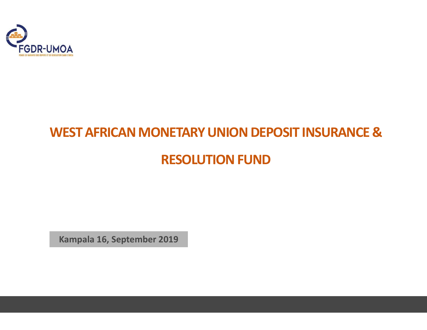

# WEST AFRICAN MONETARY UNION DEPOSIT INSURANCE & RESOLUTION FUND

Kampala 16, September 2019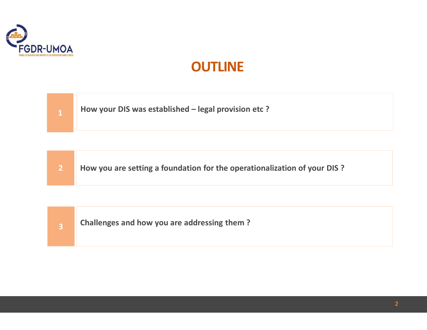

## **OUTLINE**





8 Challenges and how you are addressing them?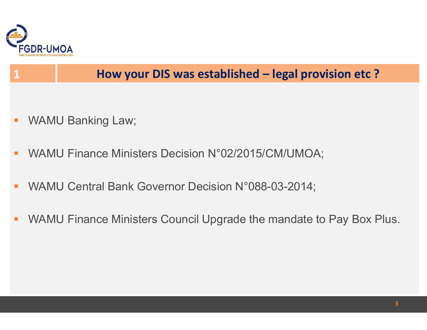

# FGDR-UMOA<br>1 How your DIS was established – legal provision etc ?

- 
- FEDR-UMOA<br>
1 **How your DIS was established leg<br>
1 WAMU Banking Law;<br>
2 WAMU Finance Ministers Decision N°02/2015/CM/U** FGDR-UMOA<br>
1 **How your DIS was established – legal provision etc ?**<br>
• WAMU Banking Law;<br>
• WAMU Finance Ministers Decision N°02/2015/CM/UMOA;<br>
• WAMU Central Bank Governor Decision N°088-03-2014;
- 
- FUR-UMUA<br>
1 **How your DIS was established legal provision etc ?**<br>
 WAMU Finance Ministers Decision N°02/2015/CM/UMOA;<br>
 WAMU Central Bank Governor Decision N°088-03-2014;<br>
 WAMU Finance Ministers Council Upgrade the m WAMU Banking Law;<br>
WAMU Finance Ministers Decision N°02/2015/CM/UMOA;<br>
WAMU Central Bank Governor Decision N°088-03-2014;<br>
WAMU Finance Ministers Council Upgrade the mandate to Pay Box Plus.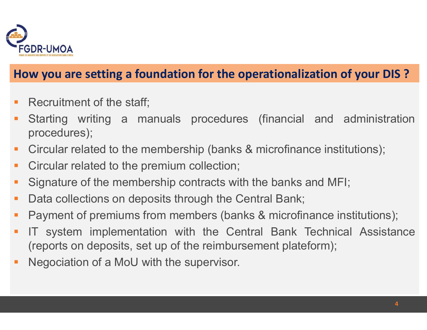

### How you are setting a foundation for the operationalization of your DIS ?

- 
- REP<br> **Recruitment of the staff;**<br> **Recruitment of the staff;**<br>
Recruitment of the staff;<br>
Recruitment of the staff;<br>
Recruitment of the staff;<br>
Recruitment of the staff;<br>
Procedures (financia procedures); Starting Ware Setting a manuals of the operationalization of your DIS?<br>
• Recruitment of the staff;<br>
• Starting writing a manuals procedures (financial and administration procedures);<br>
• Circular related to the membership procedures); FGDR-UMOA<br> **How you are setting a foundation for the operationalization of your DIS ?**<br>
• Recruitment of the staff;<br>
• Starting writing a manuals procedures (financial and administration<br>
procedures);<br>
• Circular related t FGDR-UMOA<br> **How you are setting a foundation for the operationalization of your Acid How you are setting a manuals procedures (financial and adm procedures);<br>
• Circular related to the membership (banks & microfinance inst** • FEDR-UMOA<br>
• Necruitment of the staff;<br>
• Starting writing a manuals procedures (financial and administration<br>
• Circular related to the membership (banks & microfinance institutions);<br>
• Circular related to the premium **How you are setting a foundation for the operationalization of your DIS?**<br>
• Recruitment of the staff;<br>
• Starting writing a manuals procedures (financial and administration procedures);<br>
• Circular related to the members
- 
- 
- 
- 
- 
- **Payment of the staff**<br> **Payment of the staff**<br> **Payment of the staff**<br> **Payment of the membership (banks & microfinance institutions);<br>
<b>Payment related to the premium collection;**<br> **Payment of the membership contracts wi** <ul>\n<li>Recruitment of the staff;</li>\n<li>Starting writing a manuals procedures (financial and administration procedures);</li>\n<li>Circular related to the membership (banks &amp; microfinance institutions);</li>\n<li>Circular related to the premium collection;</li>\n<li>Signature of the membership contracts with the banks and MF;</li>\n<li>Data collections on deposits through the Central Bank;</li>\n<li>Payment of premiums from members (banks &amp; microfinance institutions);</li>\n<li>IT system implementation with the Central Bank Technical Assistance (reports on deposits, set up of the reimbursement plateform);</li>\n<li>Negociation of a MOU with the supervisor.</li>\n</ul> Starting writing a manuals procedures (financial and administration procedures);<br>Circular related to the membership (banks & microfinance institutions);<br>Circular related to the premium collection;<br>Signature of the membersh Procedures);<br>
• Circular related to the membership (banks & microfinance institution<br>
• Circular related to the premium collection;<br>
• Signature of the membership contracts with the banks and MFI;<br>
• Data collections on de
-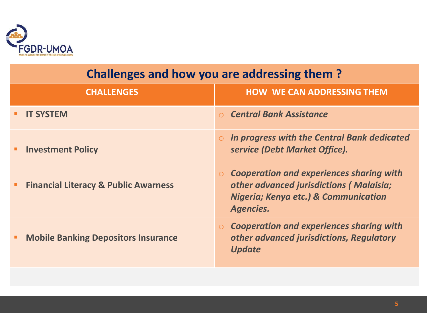

| <b>FGDR-UMOA</b>                                     |                                                                                                                                                                       |
|------------------------------------------------------|-----------------------------------------------------------------------------------------------------------------------------------------------------------------------|
| <b>Challenges and how you are addressing them?</b>   |                                                                                                                                                                       |
| <b>CHALLENGES</b>                                    | <b>HOW WE CAN ADDRESSING THEM</b>                                                                                                                                     |
| <b>IT SYSTEM</b><br>٠                                | ○ Central Bank Assistance                                                                                                                                             |
| <b>Investment Policy</b><br>٠                        | In progress with the Central Bank dedicated<br>$\circ$<br>service (Debt Market Office).                                                                               |
| <b>Financial Literacy &amp; Public Awarness</b><br>٠ | <b>Cooperation and experiences sharing with</b><br>$\circ$<br>other advanced jurisdictions (Malaisia;<br><b>Nigeria; Kenya etc.) &amp; Communication</b><br>Agencies. |
|                                                      | <b>Cooperation and experiences sharing with</b><br>$\circ$<br>other advanced jurisdictions, Regulatory                                                                |